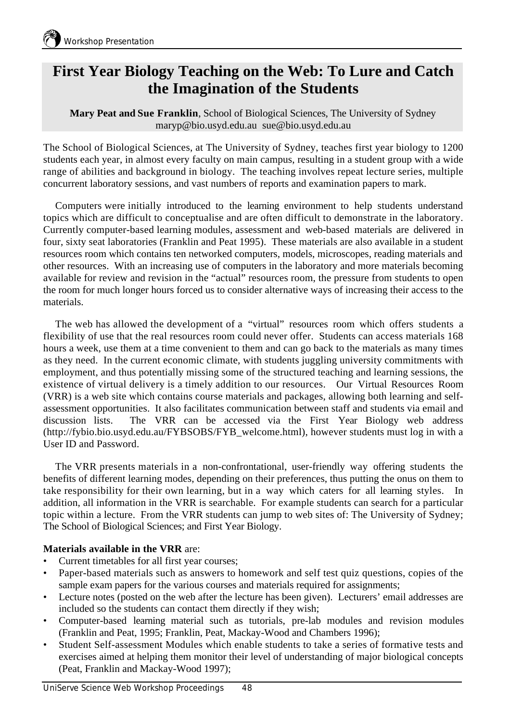# **First Year Biology Teaching on the Web: To Lure and Catch the Imagination of the Students**

**Mary Peat and Sue Franklin**, School of Biological Sciences, The University of Sydney maryp@bio.usyd.edu.au sue@bio.usyd.edu.au

The School of Biological Sciences, at The University of Sydney, teaches first year biology to 1200 students each year, in almost every faculty on main campus, resulting in a student group with a wide range of abilities and background in biology. The teaching involves repeat lecture series, multiple concurrent laboratory sessions, and vast numbers of reports and examination papers to mark.

Computers were initially introduced to the learning environment to help students understand topics which are difficult to conceptualise and are often difficult to demonstrate in the laboratory. Currently computer-based learning modules, assessment and web-based materials are delivered in four, sixty seat laboratories (Franklin and Peat 1995). These materials are also available in a student resources room which contains ten networked computers, models, microscopes, reading materials and other resources. With an increasing use of computers in the laboratory and more materials becoming available for review and revision in the "actual" resources room, the pressure from students to open the room for much longer hours forced us to consider alternative ways of increasing their access to the materials.

The web has allowed the development of a "virtual" resources room which offers students a flexibility of use that the real resources room could never offer. Students can access materials 168 hours a week, use them at a time convenient to them and can go back to the materials as many times as they need. In the current economic climate, with students juggling university commitments with employment, and thus potentially missing some of the structured teaching and learning sessions, the existence of virtual delivery is a timely addition to our resources. Our Virtual Resources Room (VRR) is a web site which contains course materials and packages, allowing both learning and selfassessment opportunities. It also facilitates communication between staff and students via email and discussion lists. The VRR can be accessed via the First Year Biology web address (http://fybio.bio.usyd.edu.au/FYBSOBS/FYB\_welcome.html), however students must log in with a User ID and Password.

The VRR presents materials in a non-confrontational, user-friendly way offering students the benefits of different learning modes, depending on their preferences, thus putting the onus on them to take responsibility for their own learning, but in a way which caters for all learning styles. In addition, all information in the VRR is searchable. For example students can search for a particular topic within a lecture. From the VRR students can jump to web sites of: The University of Sydney; The School of Biological Sciences; and First Year Biology.

## **Materials available in the VRR** are:

- Current timetables for all first year courses;
- Paper-based materials such as answers to homework and self test quiz questions, copies of the sample exam papers for the various courses and materials required for assignments;
- Lecture notes (posted on the web after the lecture has been given). Lecturers' email addresses are included so the students can contact them directly if they wish;
- Computer-based learning material such as tutorials, pre-lab modules and revision modules (Franklin and Peat, 1995; Franklin, Peat, Mackay-Wood and Chambers 1996);
- Student Self-assessment Modules which enable students to take a series of formative tests and exercises aimed at helping them monitor their level of understanding of major biological concepts (Peat, Franklin and Mackay-Wood 1997);